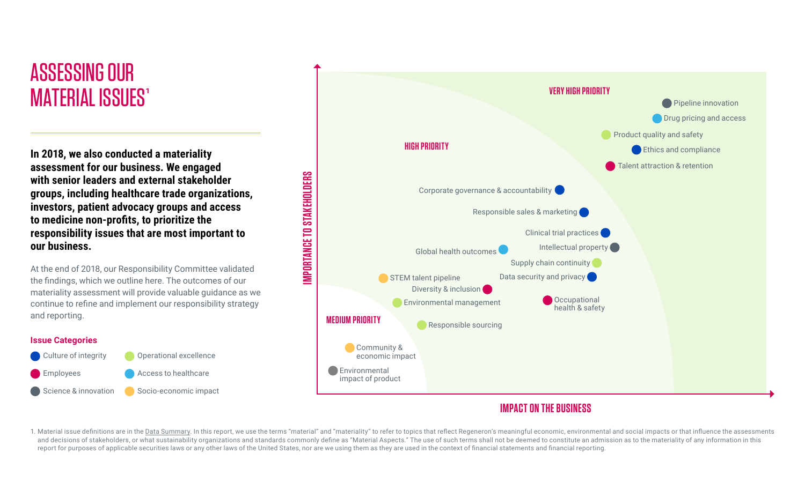## ASSESSING OUR **MATERIAL ISSUES<sup>1</sup>**

**assessment for our business. We engaged with senior leaders and external stakeholder groups, including healthcare trade organizations, investors, patient advocacy groups and access to medicine non-profits, to prioritize the responsibility issues that are most important to our business.**

At the end of 2018, our Responsibility Committee validated the findings, which we outline here. The outcomes of our materiality assessment will provide valuable guidance as we continue to refine and implement our responsibility strategy and reporting.

#### **Issue Categories**





### **IMPACT ON THE BUSINESS**

1. Material issue definitions are in the [Data Summary](#page-1-0). In this report, we use the terms "material" and "materiality" to refer to topics that reflect Regeneron's meaningful economic, environmental and social impacts or that and decisions of stakeholders, or what sustainability organizations and standards commonly define as "Material Aspects." The use of such terms shall not be deemed to constitute an admission as to the materiality of any inf report for purposes of applicable securities laws or any other laws of the United States, nor are we using them as they are used in the context of financial statements and financial reporting.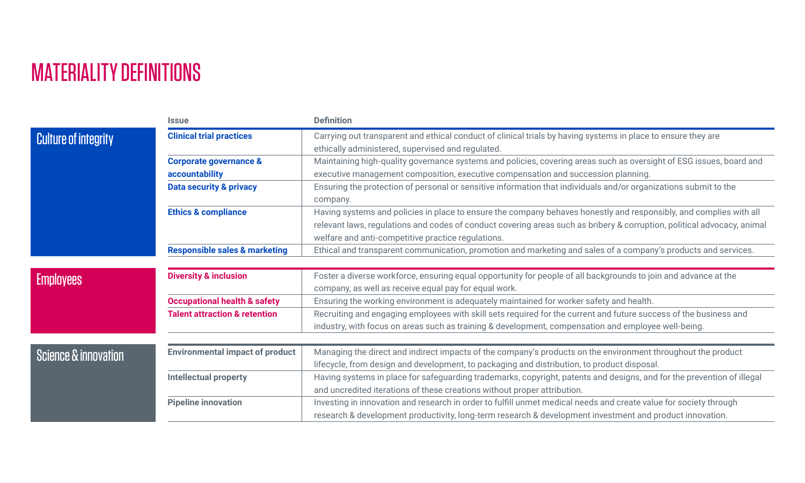## <span id="page-1-0"></span>MATERIALITY DEFINITIONS

|                                 | <b>Issue</b>                             | <b>Definition</b>                                                                                                       |
|---------------------------------|------------------------------------------|-------------------------------------------------------------------------------------------------------------------------|
| <b>Culture of integrity</b>     | <b>Clinical trial practices</b>          | Carrying out transparent and ethical conduct of clinical trials by having systems in place to ensure they are           |
|                                 |                                          | ethically administered, supervised and regulated.                                                                       |
|                                 | <b>Corporate governance &amp;</b>        | Maintaining high-quality governance systems and policies, covering areas such as oversight of ESG issues, board and     |
|                                 | accountability                           | executive management composition, executive compensation and succession planning.                                       |
|                                 | <b>Data security &amp; privacy</b>       | Ensuring the protection of personal or sensitive information that individuals and/or organizations submit to the        |
|                                 |                                          | company.                                                                                                                |
|                                 | <b>Ethics &amp; compliance</b>           | Having systems and policies in place to ensure the company behaves honestly and responsibly, and complies with all      |
|                                 |                                          | relevant laws, regulations and codes of conduct covering areas such as bribery & corruption, political advocacy, animal |
|                                 |                                          | welfare and anti-competitive practice regulations.                                                                      |
|                                 | <b>Responsible sales &amp; marketing</b> | Ethical and transparent communication, promotion and marketing and sales of a company's products and services.          |
|                                 |                                          |                                                                                                                         |
| <b>Employees</b>                | <b>Diversity &amp; inclusion</b>         | Foster a diverse workforce, ensuring equal opportunity for people of all backgrounds to join and advance at the         |
|                                 |                                          | company, as well as receive equal pay for equal work.                                                                   |
|                                 | <b>Occupational health &amp; safety</b>  | Ensuring the working environment is adequately maintained for worker safety and health.                                 |
|                                 | <b>Talent attraction &amp; retention</b> | Recruiting and engaging employees with skill sets required for the current and future success of the business and       |
|                                 |                                          | industry, with focus on areas such as training & development, compensation and employee well-being.                     |
|                                 |                                          |                                                                                                                         |
| <b>Science &amp; innovation</b> | <b>Environmental impact of product</b>   | Managing the direct and indirect impacts of the company's products on the environment throughout the product            |
|                                 |                                          | lifecycle, from design and development, to packaging and distribution, to product disposal.                             |
|                                 | <b>Intellectual property</b>             | Having systems in place for safeguarding trademarks, copyright, patents and designs, and for the prevention of illegal  |
|                                 |                                          | and uncredited iterations of these creations without proper attribution.                                                |
|                                 | <b>Pipeline innovation</b>               | Investing in innovation and research in order to fulfill unmet medical needs and create value for society through       |
|                                 |                                          | research & development productivity, long-term research & development investment and product innovation.                |